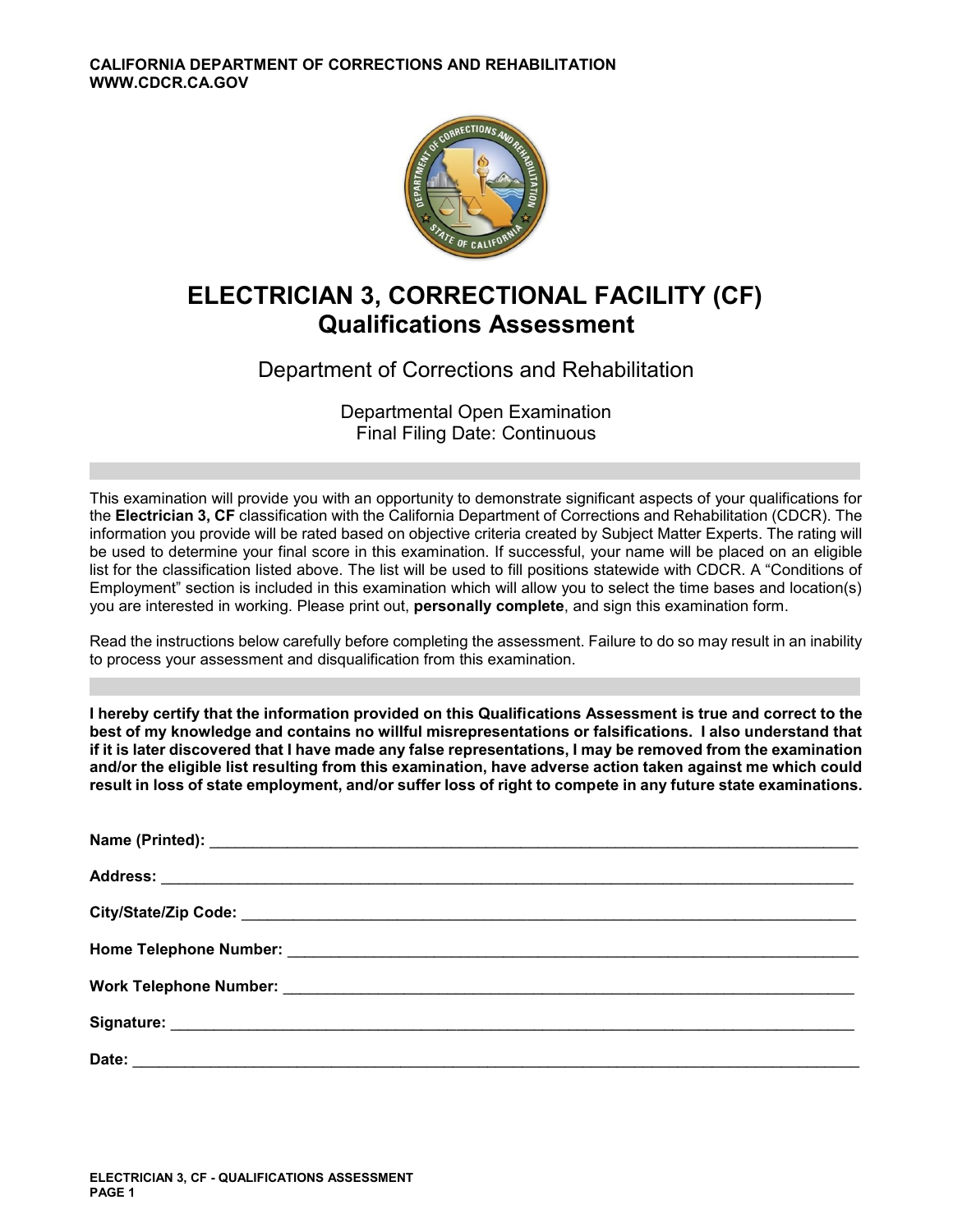

# **ELECTRICIAN 3, CORRECTIONAL FACILITY (CF) Qualifications Assessment**

# Department of Corrections and Rehabilitation

Departmental Open Examination Final Filing Date: Continuous

This examination will provide you with an opportunity to demonstrate significant aspects of your qualifications for the **Electrician 3, CF** classification with the California Department of Corrections and Rehabilitation (CDCR). The information you provide will be rated based on objective criteria created by Subject Matter Experts. The rating will be used to determine your final score in this examination. If successful, your name will be placed on an eligible list for the classification listed above. The list will be used to fill positions statewide with CDCR. A "Conditions of Employment" section is included in this examination which will allow you to select the time bases and location(s) you are interested in working. Please print out, **personally complete**, and sign this examination form.

Read the instructions below carefully before completing the assessment. Failure to do so may result in an inability to process your assessment and disqualification from this examination.

**I hereby certify that the information provided on this Qualifications Assessment is true and correct to the best of my knowledge and contains no willful misrepresentations or falsifications. I also understand that if it is later discovered that I have made any false representations, I may be removed from the examination and/or the eligible list resulting from this examination, have adverse action taken against me which could result in loss of state employment, and/or suffer loss of right to compete in any future state examinations.**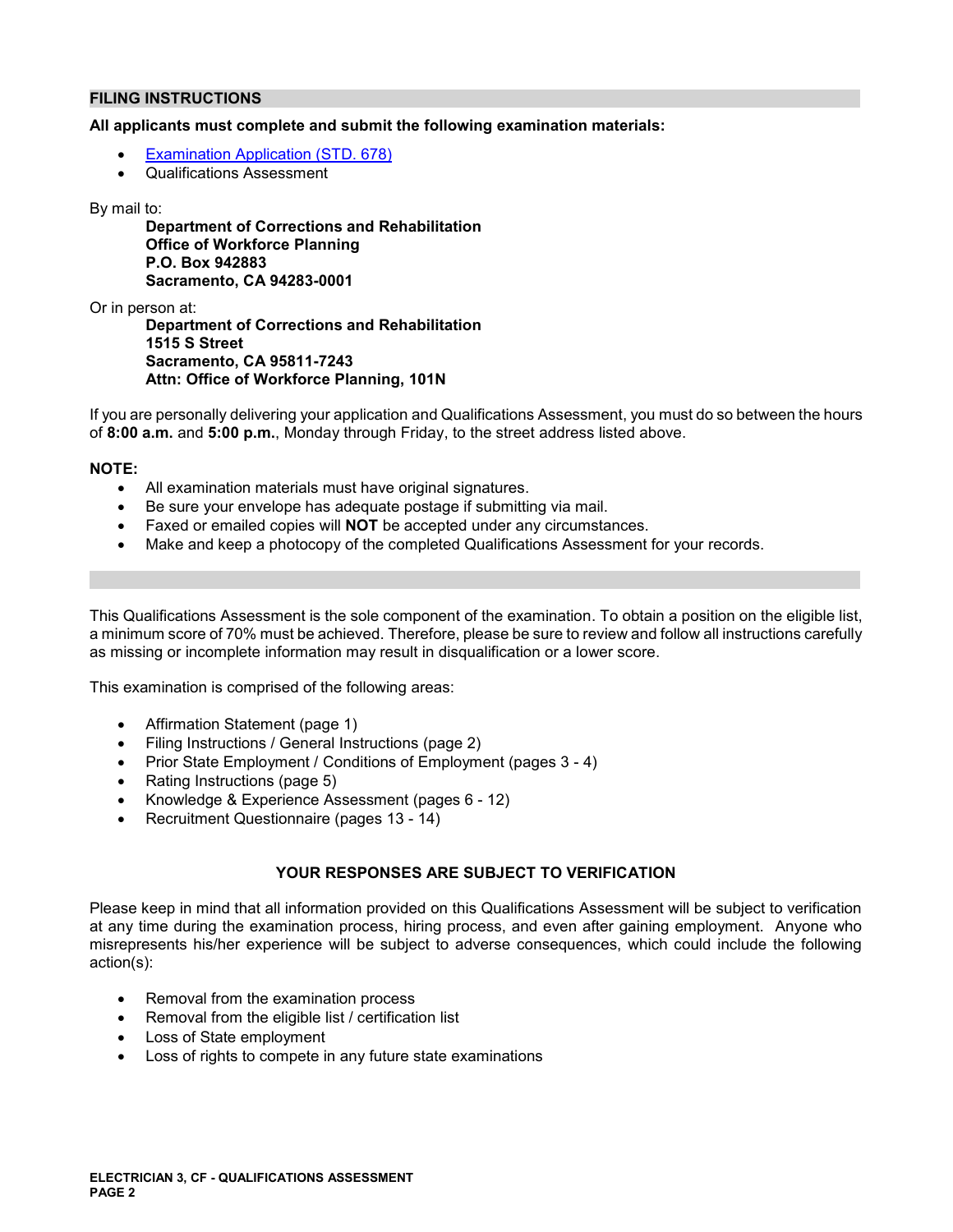### **FILING INSTRUCTIONS**

#### **All applicants must complete and submit the following examination materials:**

- [Examination Application \(STD. 678\)](https://jobs.ca.gov/pdf/STD678.pdf)
- Qualifications Assessment

#### By mail to:

**Department of Corrections and Rehabilitation Office of Workforce Planning P.O. Box 942883 Sacramento, CA 94283-0001**

Or in person at:

**Department of Corrections and Rehabilitation 1515 S Street Sacramento, CA 95811-7243 Attn: Office of Workforce Planning, 101N**

If you are personally delivering your application and Qualifications Assessment, you must do so between the hours of **8:00 a.m.** and **5:00 p.m.**, Monday through Friday, to the street address listed above.

#### **NOTE:**

- All examination materials must have original signatures.
- Be sure your envelope has adequate postage if submitting via mail.
- Faxed or emailed copies will **NOT** be accepted under any circumstances.
- Make and keep a photocopy of the completed Qualifications Assessment for your records.

This Qualifications Assessment is the sole component of the examination. To obtain a position on the eligible list, a minimum score of 70% must be achieved. Therefore, please be sure to review and follow all instructions carefully as missing or incomplete information may result in disqualification or a lower score.

This examination is comprised of the following areas:

- Affirmation Statement (page 1)
- Filing Instructions / General Instructions (page 2)
- Prior State Employment / Conditions of Employment (pages 3 4)
- Rating Instructions (page 5)
- Knowledge & Experience Assessment (pages 6 12)
- Recruitment Questionnaire (pages 13 14)

### **YOUR RESPONSES ARE SUBJECT TO VERIFICATION**

Please keep in mind that all information provided on this Qualifications Assessment will be subject to verification at any time during the examination process, hiring process, and even after gaining employment. Anyone who misrepresents his/her experience will be subject to adverse consequences, which could include the following action(s):

- Removal from the examination process
- Removal from the eligible list / certification list
- Loss of State employment
- Loss of rights to compete in any future state examinations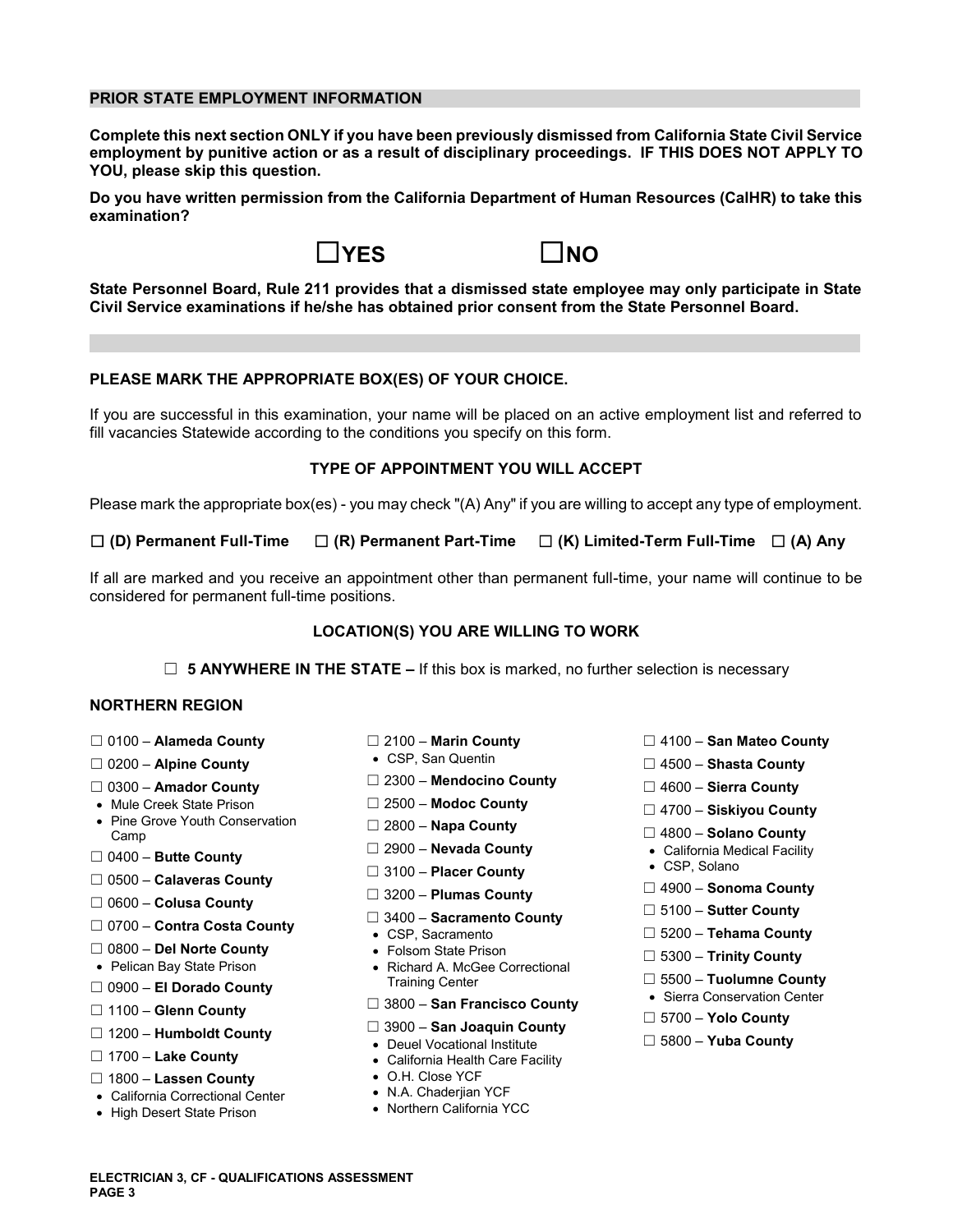#### **PRIOR STATE EMPLOYMENT INFORMATION**

**Complete this next section ONLY if you have been previously dismissed from California State Civil Service employment by punitive action or as a result of disciplinary proceedings. IF THIS DOES NOT APPLY TO YOU, please skip this question.** 

**Do you have written permission from the California Department of Human Resources (CalHR) to take this examination?**





**State Personnel Board, Rule 211 provides that a dismissed state employee may only participate in State Civil Service examinations if he/she has obtained prior consent from the State Personnel Board.**

## **PLEASE MARK THE APPROPRIATE BOX(ES) OF YOUR CHOICE.**

If you are successful in this examination, your name will be placed on an active employment list and referred to fill vacancies Statewide according to the conditions you specify on this form.

### **TYPE OF APPOINTMENT YOU WILL ACCEPT**

Please mark the appropriate box(es) - you may check "(A) Any" if you are willing to accept any type of employment.

☐ **(D) Permanent Full-Time** ☐ **(R) Permanent Part-Time** ☐ **(K) Limited-Term Full-Time** ☐ **(A) Any**

If all are marked and you receive an appointment other than permanent full-time, your name will continue to be considered for permanent full-time positions.

### **LOCATION(S) YOU ARE WILLING TO WORK**

☐ **5 ANYWHERE IN THE STATE –** If this box is marked, no further selection is necessary

### **NORTHERN REGION**

- 
- 
- 
- 
- Mule Creek State Prison ☐ <sup>2500</sup> **Modoc County** ☐ <sup>4700</sup> **Siskiyou County** Pine Grove Youth Conservation ☐ <sup>2800</sup> **Napa County** Camp ☐ <sup>4800</sup> **Solano County** Camp
□ 2900 – Nevada County
□ 2900 – Nevada County
□ 2900 – **Nevada County**□ 2900 – **Nevada County**□ 2900 – **Nevada County**■ California Medical Facility
■ CSP, Solano
■ CSP, Solano
■ CSP, Solano
- 
- ☐ <sup>0500</sup> **Calaveras County** ☐ <sup>4900</sup>**nt** <sup>2</sup> **nty Sonoma Cou y** ☐ 3 00 **Plumas Cou** ☐ <sup>0600</sup> **Colusa County**
- 
- 
- 
- 
- 
- 
- ☐ <sup>3900</sup> **n oaquin nt** <sup>0</sup> **Sa J Cou y** 12 0 **Humboldt County** ☐
- 
- ☐ 1800 **Lassen County** O.H. Close YCF
- California Correctional Center N.A. Chaderjian YCF
- High Desert State Prison
- 
- 
- ☐ ☐<sup>2300</sup> **Mendocino County** <sup>0300</sup> **Amador County** ☐ <sup>4600</sup> **Sierra County**
	-
	-
	-
	- ☐ <sup>3100</sup> **Placer County** CSP, Solano
	-
- <p>□ 0600 Colusa County</p>\n<p>□ 3400 Sacramento County</p>\n<p>□ 5100 Sutter County</p>\n<p>□ 5200 T animals County</p>\n<p>□ 5100 Sutter County</p>\n<p>□ 5200 Telama County</p>\n<p>□ 5200 Telama County</p>\n<p>□ 5200 Telhama County</p>\n<p>□ 5200 Telhama County</p>\n<p>□ 5200 Telhama County</p>
	-
	-
- ☐ <sup>0800</sup> **Del Norte County** Folsom State Prison ☐ <sup>5300</sup> **Trinity County** Pelican Bay State Prison Richard A. McGee Correctional Training Center County<br>
□ 5500 – **Tuolumne County**<br>
□ 5500 – **El Dorado County**<br>
□ 5100 – **Glenn County**<br>
□ 5100 – **Glenn County**<br>
□ 5700 – **Sierra Conservation Center** 
	- ☐ ☐ <sup>3800</sup> **San Francisco County**
	-
	- Deuel Vocational Institute ☐ 5800 **Yuba County**
- □ 1700 **Lake County** <br>● California Health Care Facility
	-
	-
	-
- ☐ 0100 **Alameda County** ☐ 2100 **Marin County** ☐ 4100 **San Mateo County**
- ☐ **Alpine County** CSP, <sup>0200</sup> San Quentin ☐ <sup>4500</sup> **Shasta County**
	-
	-
	-
	-
	-
	-
	-
	-
	-
	-
	-
	- <sup>1100</sup> **Glenn County** ☐ <sup>5700</sup> **Yolo County**
	-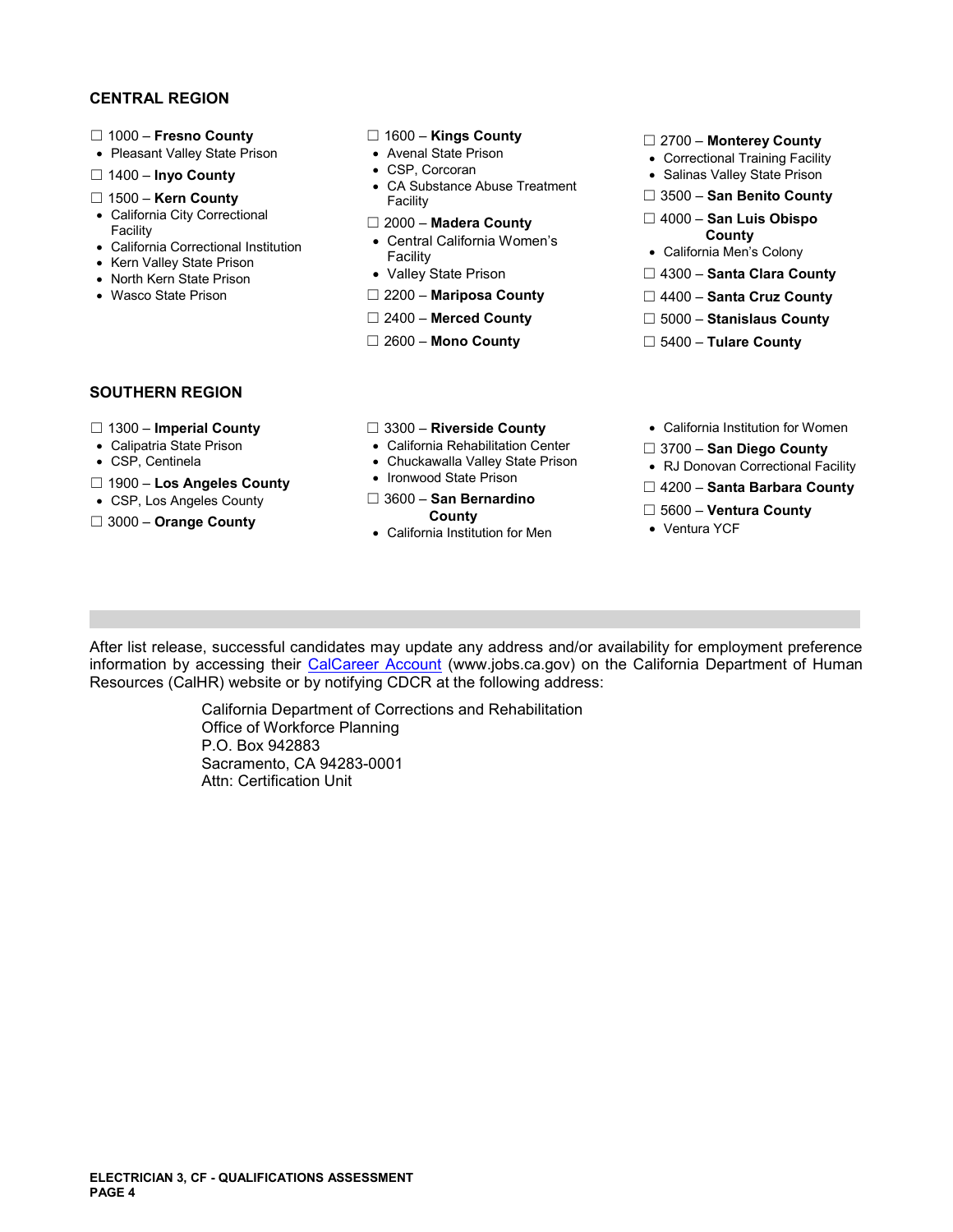#### **CENTRAL REGION**

- 
- 
- 
- 
- 
- 
- Facility California Men's Colony Kern Valley State Prison
- 
- 
- 
- 
- 
- □ 1400 **Inyo County** CSP, Corcoran CSP, Corcoran Salinas Valley State Prison CA Substance Abuse Treatment<br>
Facility Facility **Count Count** ☐ <sup>1500</sup> – **Kern County** Facility ☐ 3500 – **San Benito County**
	-
- **California Correctional Institution**<br>
Facility **California Women's** California Men's Colony **California Colony** 
	-
	-
	-
	-
- 
- ☐ <sup>1000</sup> **Fresno County** ☐ <sup>1600</sup> **Kings County** ☐ <sup>2700</sup> **Monterey County** Pleasant Valley State Prison Avenal State Prison Correctional Training Facility
	-
	-
	- California City Correctional ☐ <sup>2000</sup> **Madera County** ☐ 4000 **San Luis Obispo** Facility
		-
- North Kern State Prison Valley State Prison □ 4300 **Santa Clara County**
- Wasco State Prison ☐ 2200 **Mariposa County** ☐ 4400 **Santa Cruz County**
	- ☐ 2400 **Merced County** ☐ 5000 **Stanislaus County**
	- ☐ 2600 **Mono County** ☐ 5400 **Tulare County**

# **SOUTHERN REGION**

- 
- 
- 
- 
- 
- 
- 
- ☐ 1300 **Imperial County** ☐ 3300 **Riverside County** California Institution for Women
	-
	-
- **Los Angeles County IDOS** Ironwood State Prison <br> **County County County County ⊆** 3600 **San Bernardino**<br>
County County <br>
County County **⊆** 5600 Ventura County ☐ 5600 – **Ventura Count <sup>y</sup> <sup>y</sup>** ☐ **Count** 3000 – **Orange County** California Institution for Men Ventura YCF
	-
- 
- 
- Calipatria State Prison California Rehabilitation Center ☐ 3700 **San Diego County** CSP, Centinela Chuckawalla Valley State Prison RJ Donovan Correctional Facility
	- -
	-

After list release, successful candidates may update any address and/or availability for employment preference information by accessing their [CalCareer](https://www.jobs.ca.gov/) Account (www.jobs.ca.gov) on the California Department of Human Resources (CalHR) website or by notifying CDCR at the following address:

> California Department of Corrections and Rehabilitation Office of Workforce Planning P.O. Box 942883 Sacramento, CA 94283-0001 Attn: Certification Unit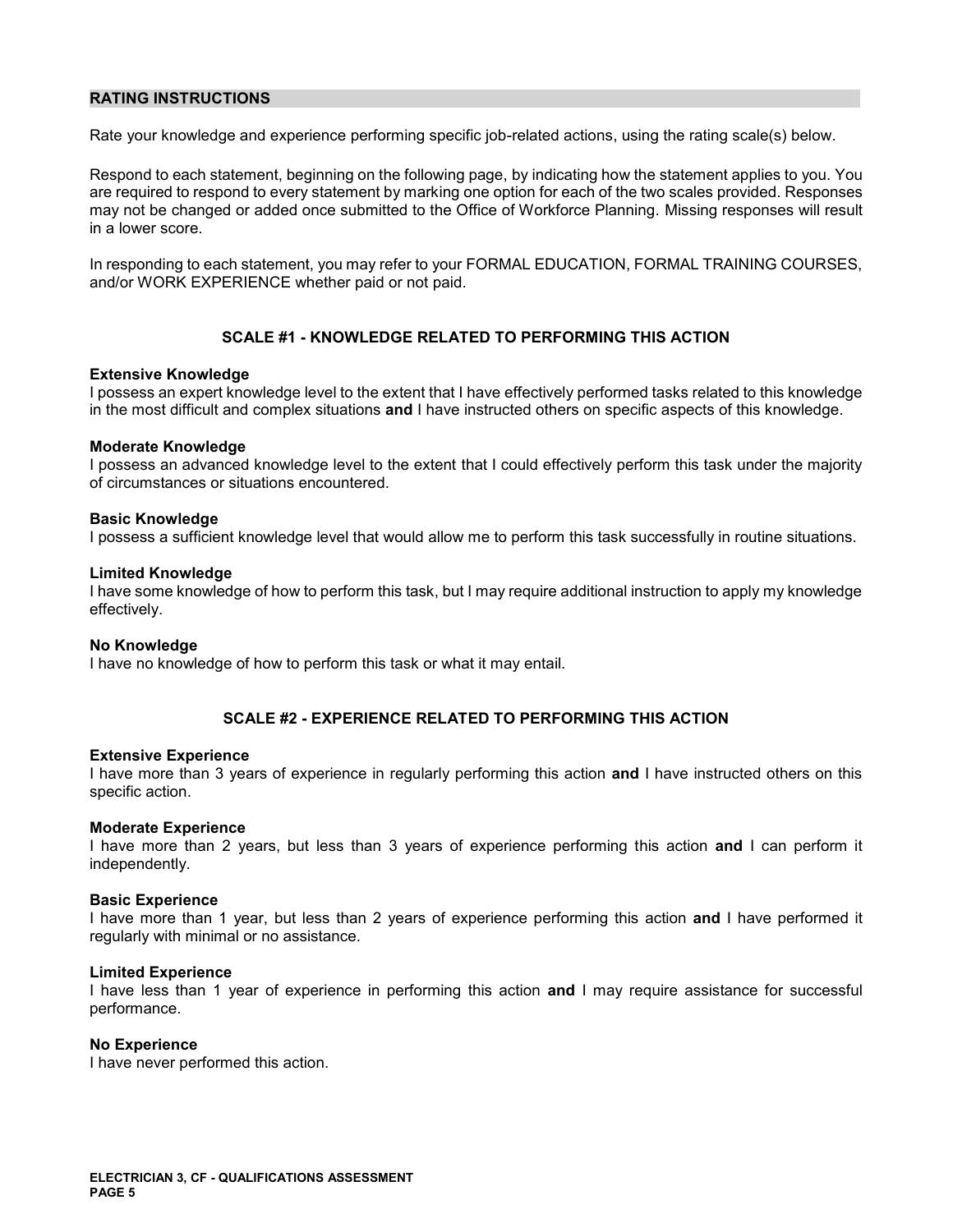### **RATING INSTRUCTIONS**

Rate your knowledge and experience performing specific job-related actions, using the rating scale(s) below.

Respond to each statement, beginning on the following page, by indicating how the statement applies to you. You are required to respond to every statement by marking one option for each of the two scales provided. Responses may not be changed or added once submitted to the Office of Workforce Planning. Missing responses will result in a lower score.

In responding to each statement, you may refer to your FORMAL EDUCATION, FORMAL TRAINING COURSES, and/or WORK EXPERIENCE whether paid or not paid.

# **SCALE #1 - KNOWLEDGE RELATED TO PERFORMING THIS ACTION**

#### **Extensive Knowledge**

I possess an expert knowledge level to the extent that I have effectively performed tasks related to this knowledge in the most difficult and complex situations **and** I have instructed others on specific aspects of this knowledge.

#### **Moderate Knowledge**

I possess an advanced knowledge level to the extent that I could effectively perform this task under the majority of circumstances or situations encountered.

#### **Basic Knowledge**

I possess a sufficient knowledge level that would allow me to perform this task successfully in routine situations.

#### **Limited Knowledge**

I have some knowledge of how to perform this task, but I may require additional instruction to apply my knowledge effectively.

#### **No Knowledge**

I have no knowledge of how to perform this task or what it may entail.

### **SCALE #2 - EXPERIENCE RELATED TO PERFORMING THIS ACTION**

#### **Extensive Experience**

I have more than 3 years of experience in regularly performing this action **and** I have instructed others on this specific action.

#### **Moderate Experience**

I have more than 2 years, but less than 3 years of experience performing this action **and** I can perform it independently.

#### **Basic Experience**

I have more than 1 year, but less than 2 years of experience performing this action **and** I have performed it regularly with minimal or no assistance.

#### **Limited Experience**

I have less than 1 year of experience in performing this action **and** I may require assistance for successful performance.

### **No Experience**

I have never performed this action.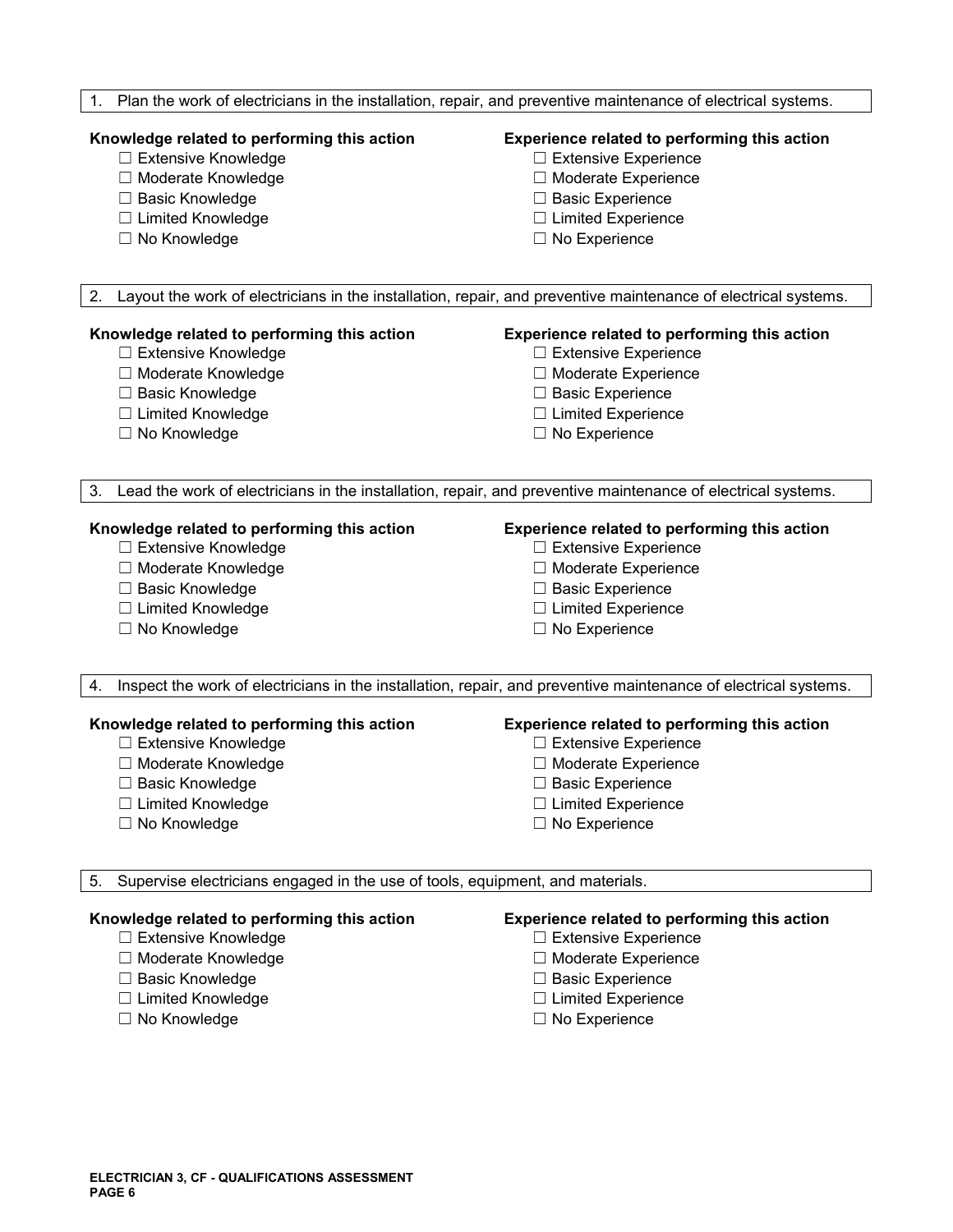#### 1. Plan the work of electricians in the installation, repair, and preventive maintenance of electrical systems.

- 
- ☐ Moderate Knowledge ☐ Moderate Experience
- ☐ Basic Knowledge ☐ Basic Experience
- ☐ Limited Knowledge ☐ Limited Experience
- 

### **Knowledge related to performing this action Experience related to performing this action**

- ☐ Extensive Knowledge ☐ Extensive Experience
	-
	-
	-
- ☐ No Knowledge ☐ No Experience

2. Layout the work of electricians in the installation, repair, and preventive maintenance of electrical systems.

- 
- 
- 
- 
- 

### **Knowledge related to performing this action Experience related to performing this action**

- ☐ Extensive Knowledge ☐ Extensive Experience
- ☐ Moderate Knowledge ☐ Moderate Experience
- ☐ Basic Knowledge ☐ Basic Experience
- ☐ Limited Knowledge ☐ Limited Experience
- ☐ No Knowledge ☐ No Experience

3. Lead the work of electricians in the installation, repair, and preventive maintenance of electrical systems.

- 
- ☐ Moderate Knowledge ☐ Moderate Experience
- 
- 
- 

#### **Knowledge related to performing this action Experience related to performing this action**

- ☐ Extensive Knowledge ☐ Extensive Experience
	-
- ☐ Basic Knowledge ☐ Basic Experience
- ☐ Limited Knowledge ☐ Limited Experience
- ☐ No Knowledge ☐ No Experience

4. Inspect the work of electricians in the installation, repair, and preventive maintenance of electrical systems.

#### **Knowledge related to performing this action Experience related to performing this action**

- ☐ Extensive Knowledge ☐ Extensive Experience
- ☐ Moderate Knowledge ☐ Moderate Experience
- ☐ Basic Knowledge ☐ Basic Experience
- ☐ Limited Knowledge ☐ Limited Experience
- ☐ No Knowledge ☐ No Experience

- 
- 
- 
- 
- 

5. Supervise electricians engaged in the use of tools, equipment, and materials.

## **Knowledge related to performing this action Experience related to performing this action**

- 
- ☐ Moderate Knowledge ☐ Moderate Experience
- ☐ Basic Knowledge ☐ Basic Experience
- ☐ Limited Knowledge ☐ Limited Experience
- ☐ No Knowledge ☐ No Experience

- ☐ Extensive Knowledge ☐ Extensive Experience
	-
	-
	-
	-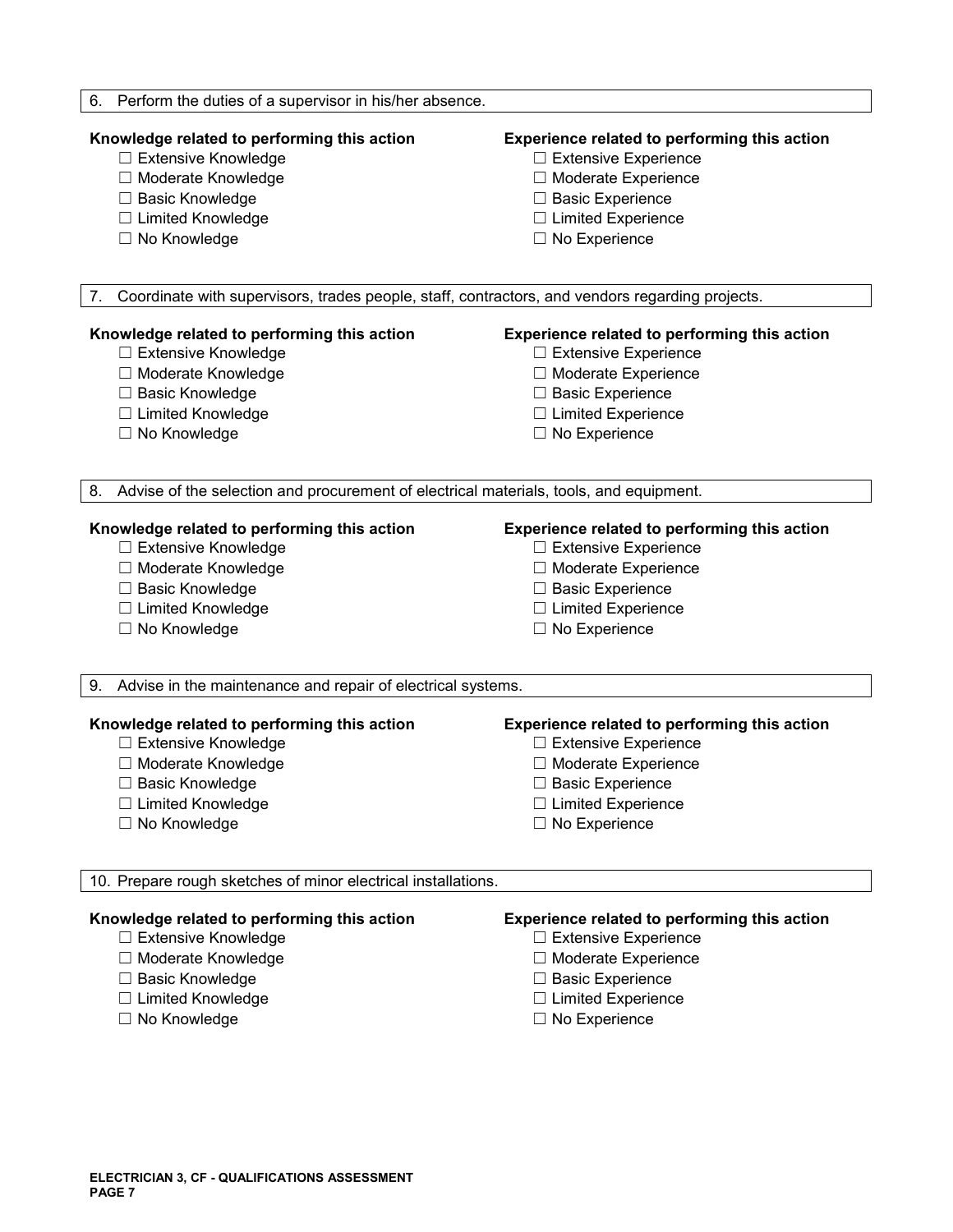### 6. Perform the duties of a supervisor in his/her absence.

- 
- 
- 
- ☐ Limited Knowledge ☐ Limited Experience
- 

# **Knowledge related to performing this action Experience related to performing this action**

- ☐ Extensive Knowledge ☐ Extensive Experience
- ☐ Moderate Knowledge ☐ Moderate Experience
- ☐ Basic Knowledge ☐ Basic Experience
	-
- ☐ No Knowledge ☐ No Experience

7. Coordinate with supervisors, trades people, staff, contractors, and vendors regarding projects.

# **Knowledge related to performing this action Experience related to performing this action**

- 
- 
- 
- ☐ Limited Knowledge ☐ Limited Experience
- 

- ☐ Extensive Knowledge ☐ Extensive Experience
- ☐ Moderate Knowledge ☐ Moderate Experience
- ☐ Basic Knowledge ☐ Basic Experience
	-
- ☐ No Knowledge ☐ No Experience

8. Advise of the selection and procurement of electrical materials, tools, and equipment.

- ☐ Extensive Knowledge ☐ Extensive Experience
- ☐ Moderate Knowledge ☐ Moderate Experience
- 
- 
- 

### **Knowledge related to performing this action Experience related to performing this action**

- 
- 
- ☐ Basic Knowledge ☐ Basic Experience
- ☐ Limited Knowledge ☐ Limited Experience
- ☐ No Knowledge ☐ No Experience

9. Advise in the maintenance and repair of electrical systems.

### **Knowledge related to performing this action Experience related to performing this action**

- ☐ Extensive Knowledge ☐ Extensive Experience
- ☐ Moderate Knowledge ☐ Moderate Experience
- ☐ Basic Knowledge ☐ Basic Experience
- ☐ Limited Knowledge ☐ Limited Experience
- ☐ No Knowledge ☐ No Experience

- 
- 
- 
- 
- 

### 10. Prepare rough sketches of minor electrical installations.

- 
- 
- 
- ☐ Limited Knowledge ☐ Limited Experience
- ☐ No Knowledge ☐ No Experience

### **Knowledge related to performing this action Experience related to performing this action**

- ☐ Extensive Knowledge ☐ Extensive Experience
- ☐ Moderate Knowledge ☐ Moderate Experience
- ☐ Basic Knowledge ☐ Basic Experience
	-
	-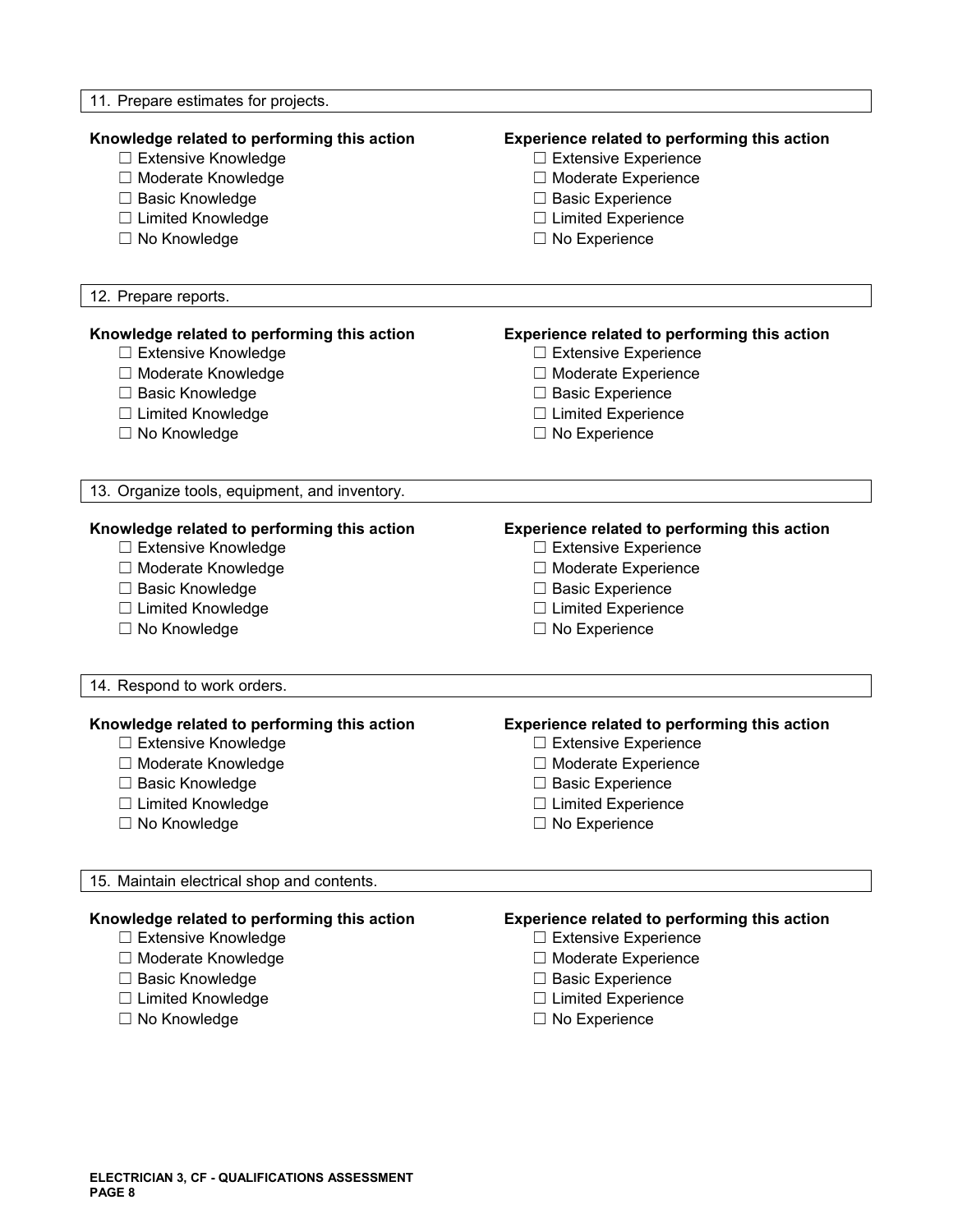| 11. Prepare estimates for projects.           |                                              |
|-----------------------------------------------|----------------------------------------------|
| Knowledge related to performing this action   | Experience related to performing this action |
| □ Extensive Knowledge                         | $\Box$ Extensive Experience                  |
| □ Moderate Knowledge                          | □ Moderate Experience                        |
| □ Basic Knowledge                             | □ Basic Experience                           |
| □ Limited Knowledge                           | $\Box$ Limited Experience                    |
| □ No Knowledge                                | $\Box$ No Experience                         |
| 12. Prepare reports.                          |                                              |
| Knowledge related to performing this action   | Experience related to performing this action |
| □ Extensive Knowledge                         | $\Box$ Extensive Experience                  |
| □ Moderate Knowledge                          | □ Moderate Experience                        |
| □ Basic Knowledge                             | $\Box$ Basic Experience                      |
| $\Box$ Limited Knowledge                      | $\Box$ Limited Experience                    |
| □ No Knowledge                                | $\Box$ No Experience                         |
| 13. Organize tools, equipment, and inventory. |                                              |
| Knowledge related to performing this action   | Experience related to performing this action |
| □ Extensive Knowledge                         | $\Box$ Extensive Experience                  |
| □ Moderate Knowledge                          | □ Moderate Experience                        |
| □ Basic Knowledge                             | □ Basic Experience                           |
| □ Limited Knowledge                           | □ Limited Experience                         |
| □ No Knowledge                                | $\Box$ No Experience                         |
| 14. Respond to work orders.                   |                                              |
| Knowledge related to performing this action   | Experience related to performing this action |
| □ Extensive Knowledge                         | $\Box$ Extensive Experience                  |
| □ Moderate Knowledge                          | □ Moderate Experience                        |
| $\Box$ Basic Knowledge                        | □ Basic Experience                           |
| □ Limited Knowledge                           | $\Box$ Limited Experience                    |
| □ No Knowledge                                | $\Box$ No Experience                         |
| 15. Maintain electrical shop and contents.    |                                              |
| Knowledge related to performing this action   | Experience related to performing this action |
| □ Extensive Knowledge                         | $\Box$ Extensive Experience                  |
| □ Moderate Knowledge                          | □ Moderate Experience                        |
| □ Basic Knowledge                             | $\Box$ Basic Experience                      |
| □ Limited Knowledge                           | $\Box$ Limited Experience                    |
| $\Box$ No Knowledge                           | $\Box$ No Experience                         |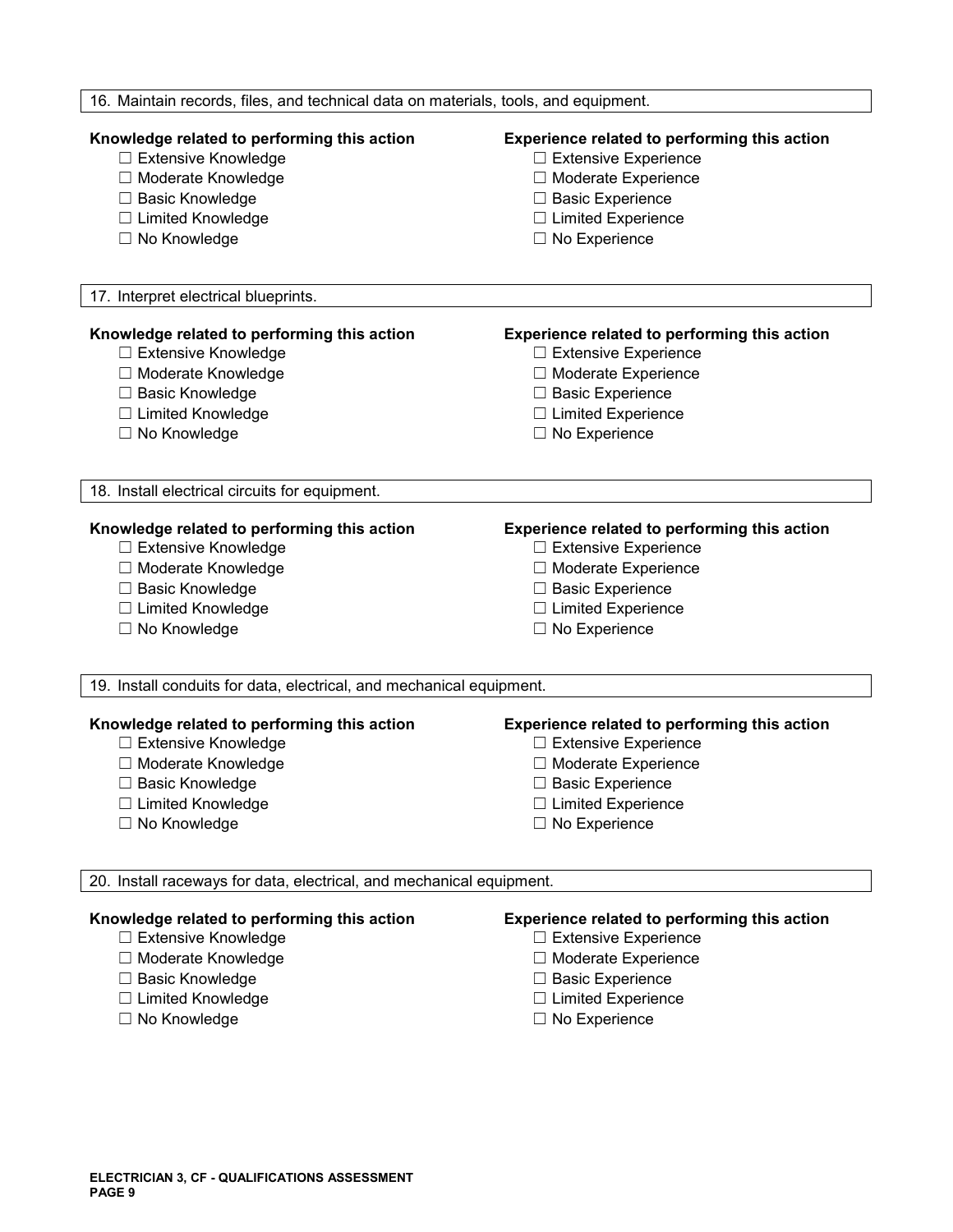|                                                                      | 16. Maintain records, files, and technical data on materials, tools, and equipment. |  |  |
|----------------------------------------------------------------------|-------------------------------------------------------------------------------------|--|--|
| Knowledge related to performing this action                          | Experience related to performing this action                                        |  |  |
| □ Extensive Knowledge                                                | $\Box$ Extensive Experience                                                         |  |  |
| □ Moderate Knowledge                                                 | □ Moderate Experience                                                               |  |  |
| □ Basic Knowledge                                                    | □ Basic Experience                                                                  |  |  |
| □ Limited Knowledge                                                  | $\Box$ Limited Experience                                                           |  |  |
| □ No Knowledge                                                       | $\Box$ No Experience                                                                |  |  |
| 17. Interpret electrical blueprints.                                 |                                                                                     |  |  |
| Knowledge related to performing this action                          | Experience related to performing this action                                        |  |  |
| □ Extensive Knowledge                                                | □ Extensive Experience                                                              |  |  |
| □ Moderate Knowledge                                                 | □ Moderate Experience                                                               |  |  |
| □ Basic Knowledge                                                    | □ Basic Experience                                                                  |  |  |
| □ Limited Knowledge                                                  | $\Box$ Limited Experience                                                           |  |  |
| □ No Knowledge                                                       | $\Box$ No Experience                                                                |  |  |
| 18. Install electrical circuits for equipment.                       |                                                                                     |  |  |
| Knowledge related to performing this action                          | Experience related to performing this action                                        |  |  |
| □ Extensive Knowledge                                                | □ Extensive Experience                                                              |  |  |
| □ Moderate Knowledge                                                 | □ Moderate Experience                                                               |  |  |
| □ Basic Knowledge                                                    | □ Basic Experience                                                                  |  |  |
| □ Limited Knowledge                                                  | $\Box$ Limited Experience                                                           |  |  |
| $\Box$ No Knowledge                                                  | $\Box$ No Experience                                                                |  |  |
| 19. Install conduits for data, electrical, and mechanical equipment. |                                                                                     |  |  |
| Knowledge related to performing this action                          | Experience related to performing this action                                        |  |  |
| □ Extensive Knowledge                                                | □ Extensive Experience                                                              |  |  |
| □ Moderate Knowledge                                                 | □ Moderate Experience                                                               |  |  |
| $\Box$ Basic Knowledge                                               | $\Box$ Basic Experience                                                             |  |  |
| □ Limited Knowledge                                                  | $\Box$ Limited Experience                                                           |  |  |
| □ No Knowledge                                                       | $\Box$ No Experience                                                                |  |  |
| 20. Install raceways for data, electrical, and mechanical equipment. |                                                                                     |  |  |
| Knowledge related to performing this action                          | Experience related to performing this action                                        |  |  |
| □ Extensive Knowledge                                                | □ Extensive Experience                                                              |  |  |
| □ Moderate Knowledge                                                 | □ Moderate Experience                                                               |  |  |
| □ Basic Knowledge                                                    | □ Basic Experience                                                                  |  |  |
| □ Limited Knowledge                                                  | $\Box$ Limited Experience                                                           |  |  |
| □ No Knowledge                                                       | $\Box$ No Experience                                                                |  |  |

٦

Г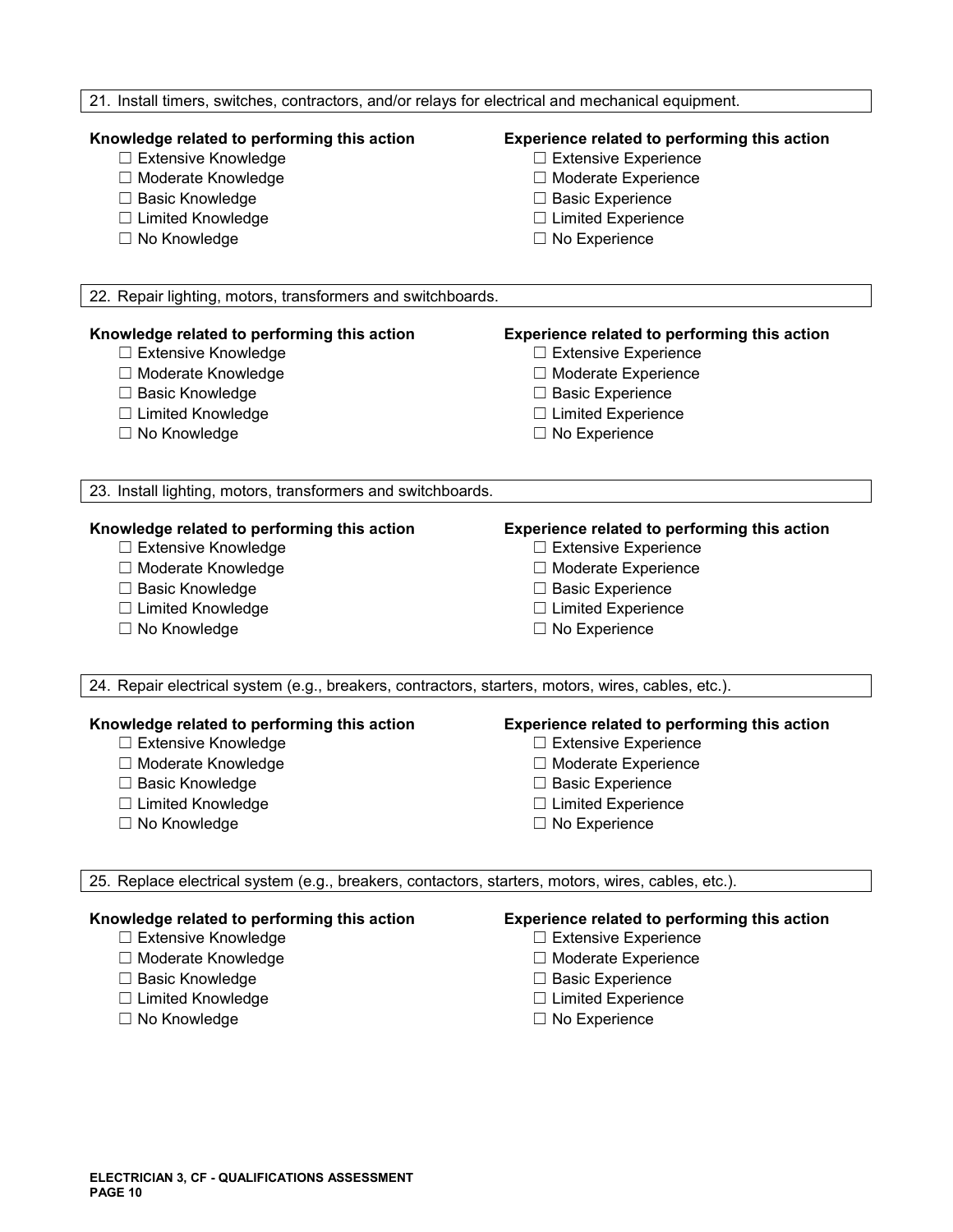| 21. Install timers, switches, contractors, and/or relays for electrical and mechanical equipment.  |                                                     |  |
|----------------------------------------------------------------------------------------------------|-----------------------------------------------------|--|
| Knowledge related to performing this action                                                        | <b>Experience related to performing this action</b> |  |
| □ Extensive Knowledge                                                                              | $\Box$ Extensive Experience                         |  |
| □ Moderate Knowledge                                                                               | □ Moderate Experience                               |  |
| □ Basic Knowledge                                                                                  | □ Basic Experience                                  |  |
| □ Limited Knowledge                                                                                | □ Limited Experience                                |  |
| □ No Knowledge                                                                                     | $\Box$ No Experience                                |  |
| 22. Repair lighting, motors, transformers and switchboards.                                        |                                                     |  |
| Knowledge related to performing this action                                                        | Experience related to performing this action        |  |
| □ Extensive Knowledge                                                                              | $\Box$ Extensive Experience                         |  |
| □ Moderate Knowledge                                                                               | □ Moderate Experience                               |  |
| □ Basic Knowledge                                                                                  | $\Box$ Basic Experience                             |  |
| $\Box$ Limited Knowledge                                                                           | □ Limited Experience                                |  |
| □ No Knowledge                                                                                     | $\Box$ No Experience                                |  |
| 23. Install lighting, motors, transformers and switchboards.                                       |                                                     |  |
| Knowledge related to performing this action                                                        | Experience related to performing this action        |  |
| □ Extensive Knowledge                                                                              | $\Box$ Extensive Experience                         |  |
| □ Moderate Knowledge                                                                               | □ Moderate Experience                               |  |
| □ Basic Knowledge                                                                                  | $\Box$ Basic Experience                             |  |
| □ Limited Knowledge                                                                                | □ Limited Experience                                |  |
| □ No Knowledge                                                                                     | $\Box$ No Experience                                |  |
| 24. Repair electrical system (e.g., breakers, contractors, starters, motors, wires, cables, etc.). |                                                     |  |
| Knowledge related to performing this action                                                        | Experience related to performing this action        |  |
| □ Extensive Knowledge                                                                              | □ Extensive Experience                              |  |
| □ Moderate Knowledge                                                                               | $\Box$ Moderate Experience                          |  |
| $\Box$ Basic Knowledge                                                                             | $\Box$ Basic Experience                             |  |
| □ Limited Knowledge                                                                                | $\Box$ Limited Experience                           |  |
| □ No Knowledge                                                                                     | $\Box$ No Experience                                |  |
| 25. Replace electrical system (e.g., breakers, contactors, starters, motors, wires, cables, etc.). |                                                     |  |
| Knowledge related to performing this action                                                        | Experience related to performing this action        |  |
| □ Extensive Knowledge                                                                              | $\Box$ Extensive Experience                         |  |
| □ Moderate Knowledge                                                                               | □ Moderate Experience                               |  |
| $\Box$ Basic Knowledge                                                                             | $\Box$ Basic Experience                             |  |

- ∟ Basic Knowledge<br>□ Limited Knowledge ☐ Limited Knowledge ☐ Limited Experience
- 
- 
- 
- □ No Experience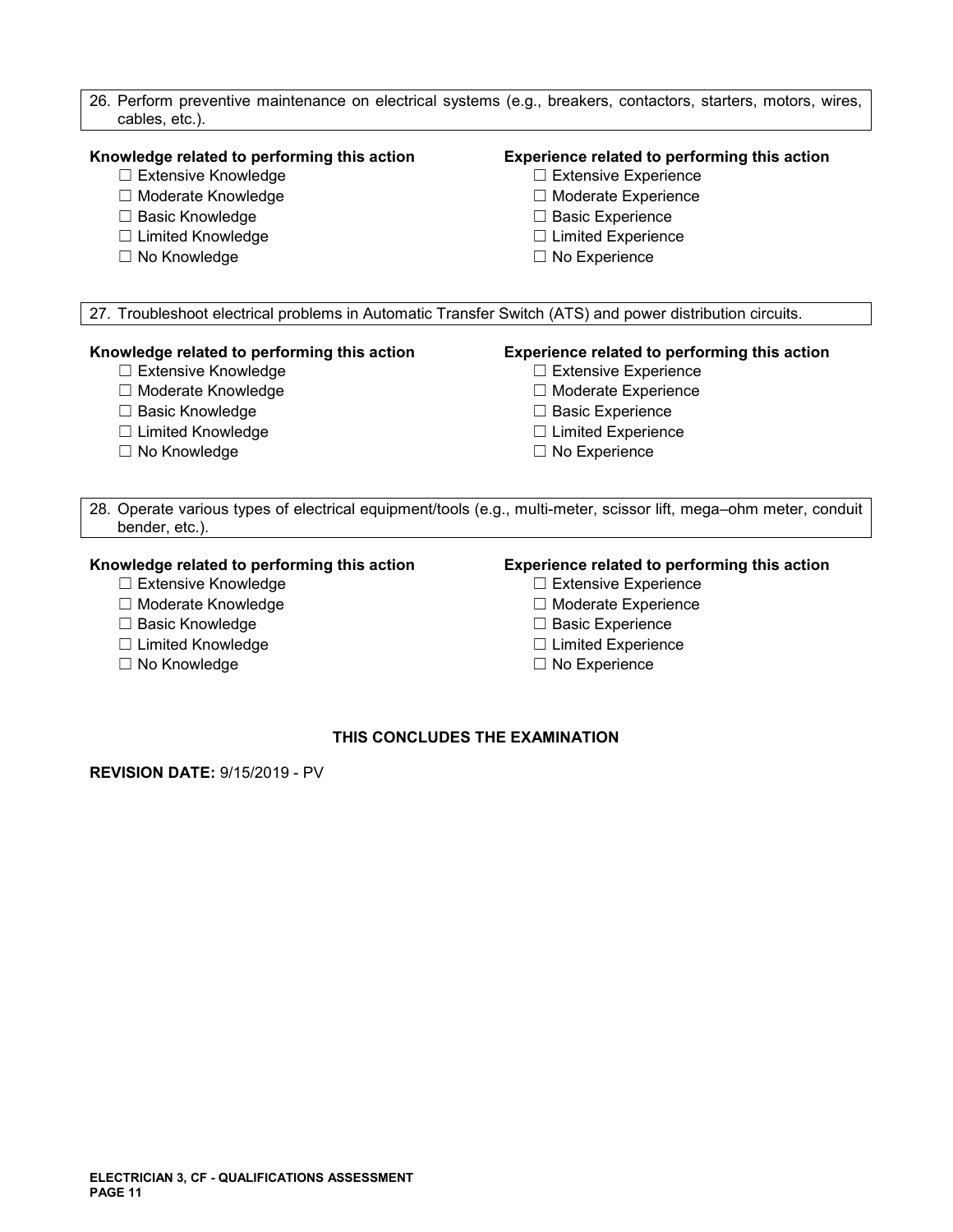26. Perform preventive maintenance on electrical systems (e.g., breakers, contactors, starters, motors, wires, cables, etc.).

#### **Knowledge related to performing this action Experience related to performing this action**

- ☐ Extensive Knowledge ☐ Extensive Experience
- ☐ Moderate Knowledge ☐ Moderate Experience
- ☐ Basic Knowledge ☐ Basic Experience
- 
- 

- 
- 
- 
- ☐ Limited Knowledge ☐ Limited Experience
- ☐ No Knowledge ☐ No Experience

27. Troubleshoot electrical problems in Automatic Transfer Switch (ATS) and power distribution circuits.

### **Knowledge related to performing this action Experience related to performing this action**

- ☐ Extensive Knowledge ☐ Extensive Experience
- ☐ Moderate Knowledge ☐ Moderate Experience
- ☐ Basic Knowledge ☐ Basic Experience
- ☐ Limited Knowledge ☐ Limited Experience
- 

- 
- 
- 
- 
- ☐ No Knowledge ☐ No Experience

28. Operate various types of electrical equipment/tools (e.g., multi-meter, scissor lift, mega–ohm meter, conduit bender, etc.).

# **Knowledge related to performing this action Experience related to performing this action**

- ☐ Extensive Knowledge ☐ Extensive Experience
- ☐ Moderate Knowledge ☐ Moderate Experience
- ☐ Basic Knowledge ☐ Basic Experience
- ☐ Limited Knowledge ☐ Limited Experience
- ☐ No Knowledge ☐ No Experience

- 
- 
- 
- 
- 

# **THIS CONCLUDES THE EXAMINATION**

**REVISION DATE:** 9/15/2019 - PV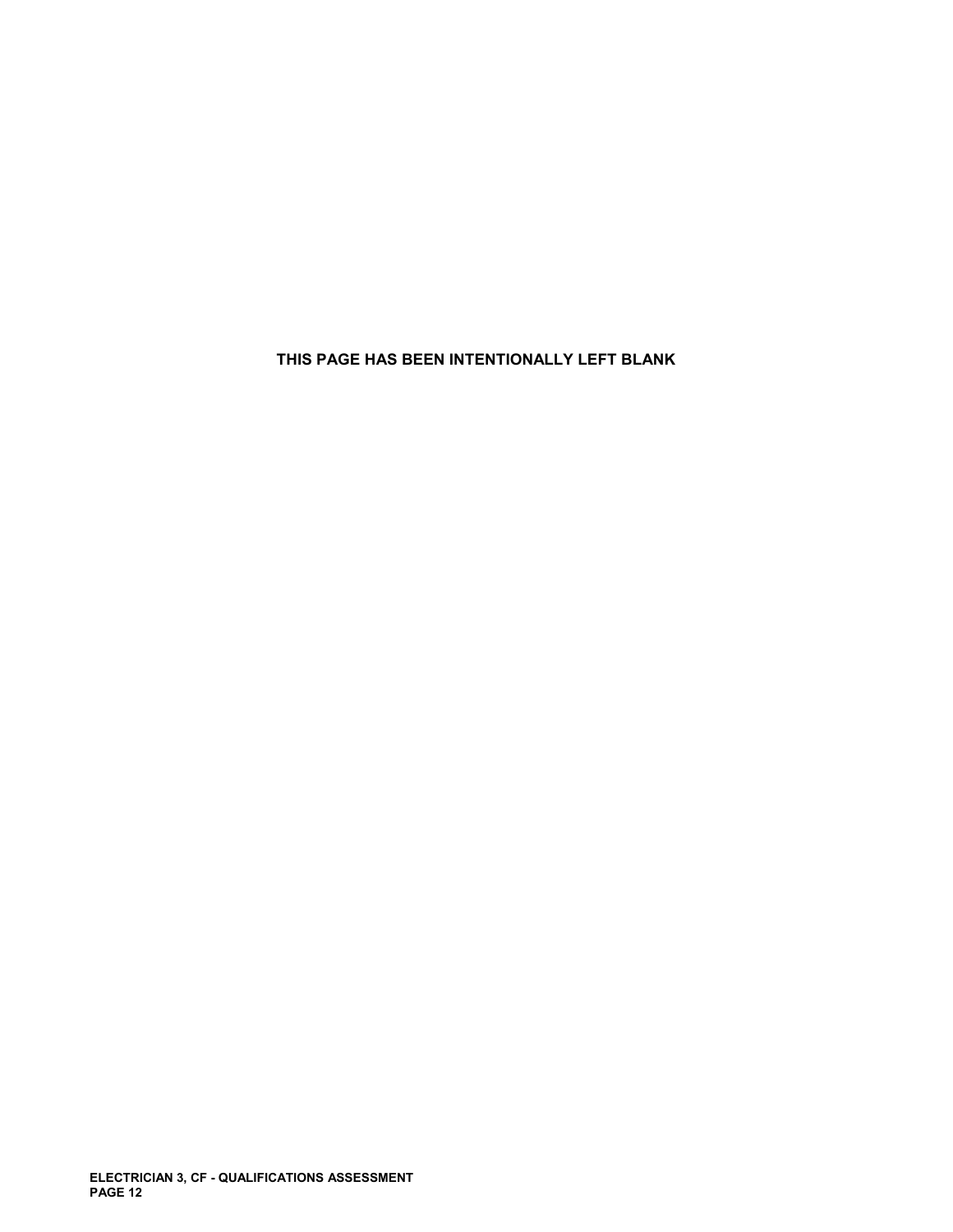**THIS PAGE HAS BEEN INTENTIONALLY LEFT BLANK**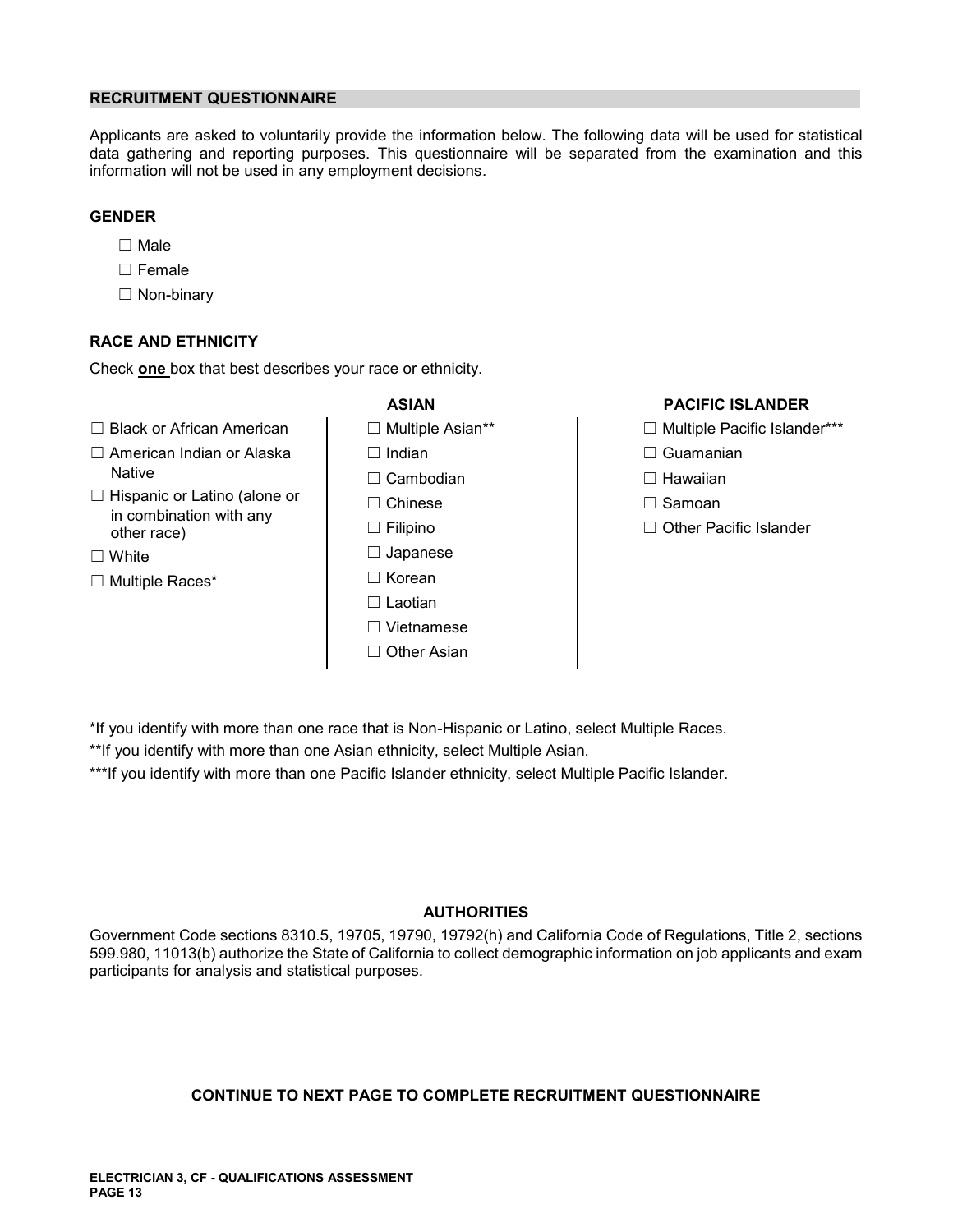### **RECRUITMENT QUESTIONNAIRE**

Applicants are asked to voluntarily provide the information below. The following data will be used for statistical data gathering and reporting purposes. This questionnaire will be separated from the examination and this information will not be used in any employment decisions.

## **GENDER**

- ☐ Male
- ☐ Female
- ☐ Non-binary

# **RACE AND ETHNICITY**

Check **one** box that best describes your race or ethnicity.

- ☐ Black or African American ☐ Multiple Asian\*\* ☐ Multiple Pacific Islander\*\*\*
- ☐ American Indian or Alaska ☐ Indian ☐ Guamanian
- ☐ Hispanic or Latino (alone or ☐ Chinese ☐ Samoan in combination with any
- 
- 
- Native ☐ Cambodian ☐ Hawaiian other race) ☐ Filipino ☐ Other Pacific Islander ☐ White ☐ Japanese ☐ Multiple Races\* ☐ Korean ☐ Laotian ☐ Vietnamese ☐ Other Asian

# **ASIAN PACIFIC ISLANDER**

- 
- 
- 
- 
- 

- \*If you identify with more than one race that is Non-Hispanic or Latino, select Multiple Races.
- \*\*If you identify with more than one Asian ethnicity, select Multiple Asian.

\*\*\*If you identify with more than one Pacific Islander ethnicity, select Multiple Pacific Islander.

### **AUTHORITIES**

Government Code sections 8310.5, 19705, 19790, 19792(h) and California Code of Regulations, Title 2, sections 599.980, 11013(b) authorize the State of California to collect demographic information on job applicants and exam participants for analysis and statistical purposes.

# **CONTINUE TO NEXT PAGE TO COMPLETE RECRUITMENT QUESTIONNAIRE**